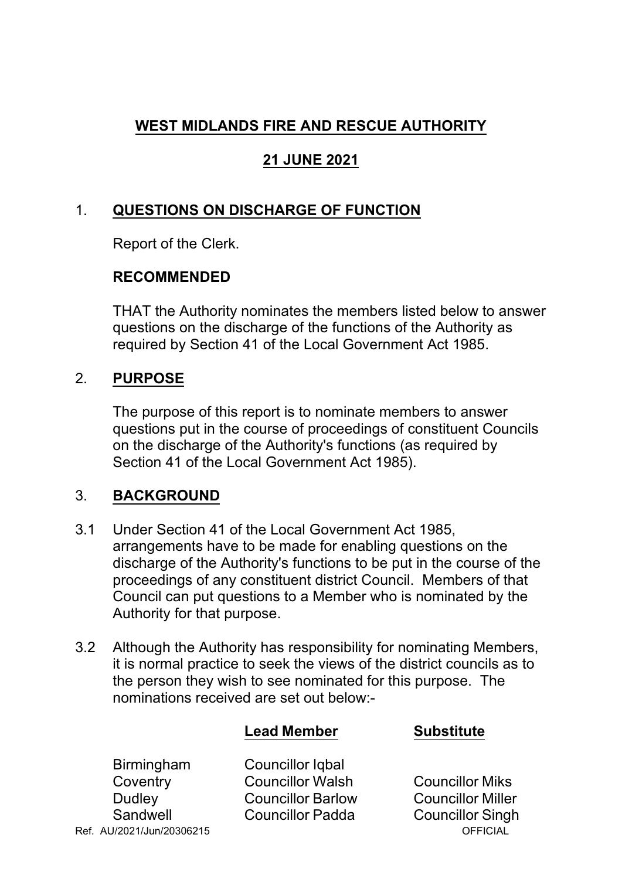# **WEST MIDLANDS FIRE AND RESCUE AUTHORITY**

## **21 JUNE 2021**

### 1. **QUESTIONS ON DISCHARGE OF FUNCTION**

Report of the Clerk.

### **RECOMMENDED**

THAT the Authority nominates the members listed below to answer questions on the discharge of the functions of the Authority as required by Section 41 of the Local Government Act 1985.

### 2. **PURPOSE**

The purpose of this report is to nominate members to answer questions put in the course of proceedings of constituent Councils on the discharge of the Authority's functions (as required by Section 41 of the Local Government Act 1985).

### 3. **BACKGROUND**

- 3.1 Under Section 41 of the Local Government Act 1985, arrangements have to be made for enabling questions on the discharge of the Authority's functions to be put in the course of the proceedings of any constituent district Council. Members of that Council can put questions to a Member who is nominated by the Authority for that purpose.
- 3.2 Although the Authority has responsibility for nominating Members, it is normal practice to seek the views of the district councils as to the person they wish to see nominated for this purpose. The nominations received are set out below:

|                   | <b>Lead Member</b>       | <b>Substitute</b>        |
|-------------------|--------------------------|--------------------------|
| <b>Birmingham</b> | <b>Councillor Igbal</b>  |                          |
| Coventry          | <b>Councillor Walsh</b>  | <b>Councillor Miks</b>   |
| <b>Dudley</b>     | <b>Councillor Barlow</b> | <b>Councillor Miller</b> |
| Sandwell          | <b>Councillor Padda</b>  | <b>Councillor Singh</b>  |

Ref. AU/2021/Jun/20306215 OFFICIAL